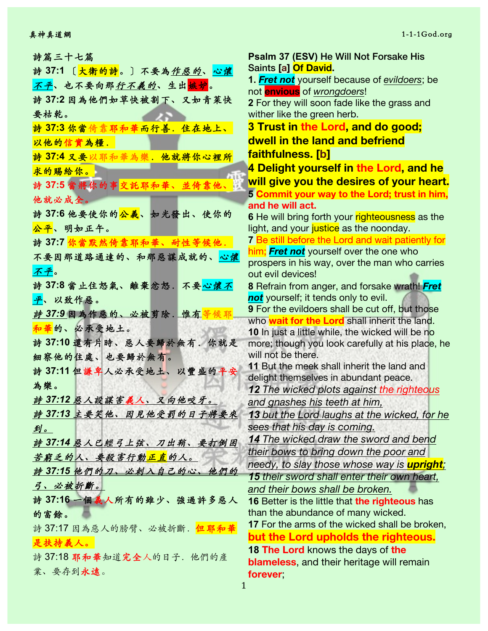詩篇三十七篇 詩 **37:1** 〔⼤衛的詩。〕不要為作惡的、⼼懷 <mark>不平</mark>、也不要向那行不義的、生出<mark>嫉妒</mark>。 詩 **37:2** 因為他們如草快被割下、又如青菜快 要枯乾。 **詩 37:3 你當倚靠耶和華而行善. 住在地上、** 以他的信實為糧. 詩 **37:4** 又要以耶和華為樂.他就將你⼼裡所 求的賜給你。 詩 **37:5** 當將你的事交託耶和華、並倚靠他、 他就必成全。 詩 **37:6** 他要使你的公義、如光發出、使你的 公平、明如正午。 詩 **37:7** 你當默然倚靠耶和華、耐性等候他. 不要因那道路通達的、和那惡謀成就的、心懷 不平。 詩 **37:8** 當⽌住怒氣、離棄忿怒.不要⼼懷不 平、以致作惡。 **詩 37:9 因為作惡的、必被剪除. 惟有等** 和華的、必承受地土。 詩 **37:10** 還有片時、惡⼈要歸於無有.你就是 細察他的住處、也要歸於無有。 詩 **37:11** 但謙卑⼈必承受地⼟、以豐盛的平安 為樂。 詩 *37:12* 惡⼈設謀害義⼈、又向他咬牙。 **詩 37:13 主要笑他、因見他受罰的日子將要來** 到。 **詩 37:14 惡人已經弓上弦、刀出鞘、要打倒困** 苦窮乏的人。要殺害行動正直的人。 **詩 37:15 他們的刀、必刺入自己的心、他們的** 弓、必被折斷。 詩 **37:16** ⼀個義⼈所有的雖少、強過許多惡⼈ 的富餘。 詩 37:17 因為惡人的膀臂、必被折斷. 但耶和華 是扶持義⼈。 詩 37:18 耶和華知道完全人的日子. 他們的產 業、要存到永遠。

**Psalm 37 (ESV)** He Will Not Forsake His Saints **[a] Of David. 1.** *Fret not* yourself because of *evildoers*; be not **envious** of *wrongdoers*! **2** For they will soon fade like the grass and wither like the green herb. **3 Trust in the Lord, and do good; dwell in the land and befriend faithfulness. [b] 4 Delight yourself in the Lord, and he will give you the desires of your heart. 5 Commit your way to the Lord; trust in him, and he will act. 6** He will bring forth your righteousness as the light, and your justice as the noonday. **7** Be still before the Lord and wait patiently for him; *Fret not* yourself over the one who prospers in his way, over the man who carries out evil devices! **8** Refrain from anger, and forsake wrath! *Fret not* yourself; it tends only to evil. **9** For the evildoers shall be cut off, but those who **wait for the Lord** shall inherit the land. **10** In just a little while, the wicked will be no more; though you look carefully at his place, he will not be there. **11** But the meek shall inherit the land and delight themselves in abundant peace. *12 The wicked plots against the righteous and gnashes his teeth at him, 13 but the Lord laughs at the wicked, for he sees that his day is coming. 14 The wicked draw the sword and bend their bows to bring down the poor and needy, to slay those whose way is upright; 15 their sword shall enter their own heart, and their bows shall be broken.* **16** Better is the little that **the righteous** has than the abundance of many wicked. **17** For the arms of the wicked shall be broken, **but the Lord upholds the righteous. 18 The Lord** knows the days of **the blameless**, and their heritage will remain **forever**;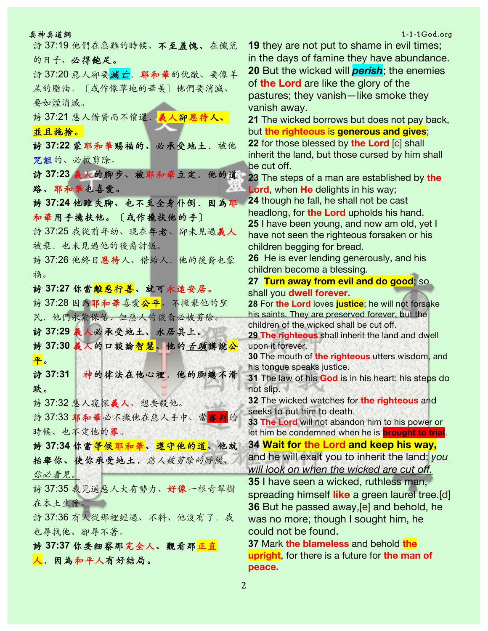詩 37:19 他們在急難的時候、不至羞愧、在饑荒 的日子、必得飽足。 詩 37:20 惡人卻要<mark>滅亡</mark>. 耶和華的仇敵、要像羊 羔的脂油.〔或作像草地的華美〕他們要消滅、 要如煙消滅。 詩 37:21 惡人借貸而不償還. 義人卻恩待人、 並且施捨。 詩 **37:22** 蒙耶和華賜福的、必承受地⼟.被他 咒詛的、必被剪除。 詩 **37:23** 義⼈的腳步、被耶和華立定.他的道 路、耶和華也喜愛。 詩 **37:24** 他雖失腳、也不⾄全身仆倒.因為耶 和華用手攙扶他。〔或作攙扶他的手〕 詩 37:25 我從前年幼、現在年老、卻未見過義⼈ 被棄.也未見過他的後裔討飯。 詩 37:26 他終日恩待人、借給人. 他的後裔也蒙 福。 詩 **37:27** 你當離惡⾏善、就可永遠安居。 詩 37:28 因為耶和華喜愛公平、不撇棄他的聖 民. 他們永蒙保佑. 但惡人的後裔必被剪除。 詩 **37:29** 義⼈必承受地⼟、永居其上。 <mark>詩 37:30 義人的口談論智慧、他的*舌頭*講說公</mark> 平。 詩 **37:31** 神的律法在他⼼裡.他的腳總不滑 跌。 詩 37:32 惡⼈窺探義⼈、想要殺他。 詩 37:33 耶和華必不撇他在惡人手中、當<mark>審判</mark>的 時候、也不定他的罪。 詩 **37:34** 你當等候耶和華、遵守他的道、他就 抬舉你、使你承受地土. 惡人被剪除的時候、 你必看見。 詩 37:35 我見過惡人大有勢力、好像一根青翠樹 在本土生發。 詩 37:36 有人從那裡經過、不料、他沒有了. 我 也尋找他、卻尋不著。 詩 **37:37** 你要細察那完全⼈、觀看那正直 人. 因為和平人有好結局。

真神真道網 1-1-1God.org としょう しょうしょう しょうしょう しょうしょう しょうしゅう しょうしゅう しょうしゅう 1-1-1God.org **19** they are not put to shame in evil times; in the days of famine they have abundance. **20** But the wicked will *perish*; the enemies of **the Lord** are like the glory of the pastures; they vanish—like smoke they vanish away. **21** The wicked borrows but does not pay back, but **the righteous** is **generous and gives**; **22** for those blessed by **the Lord** [c] shall inherit the land, but those cursed by him shall be cut off. **23** The steps of a man are established by **the Lord**, when **He** delights in his way; **24** though he fall, he shall not be cast headlong, for **the Lord** upholds his hand. **25** I have been young, and now am old, yet I have not seen the righteous forsaken or his children begging for bread. **26** He is ever lending generously, and his children become a blessing. **27 Turn away from evil and do good**; so shall you **dwell forever. 28** For **the Lord** loves **justice**; he will not forsake his saints. They are preserved forever, but the children of the wicked shall be cut off. **29 The righteous** shall inherit the land and dwell upon it forever. **30** The mouth of **the righteous** utters wisdom, and his tongue speaks justice. **31** The law of his **God** is in his heart; his steps do not slip. **32** The wicked watches for **the righteous** and seeks to put him to death. **33 The Lord** will not abandon him to his power or let him be condemned when he is **brought to trial**. **34 Wait for the Lord and keep his way,** and he will exalt you to inherit the land; *you will look on when the wicked are cut off.* **35** I have seen a wicked, ruthless man, spreading himself **like** a green laurel tree.[d] **36** But he passed away,[e] and behold, he was no more; though I sought him, he could not be found.

> **37** Mark **the blameless** and behold **the upright**, for there is a future for **the man of peace.**